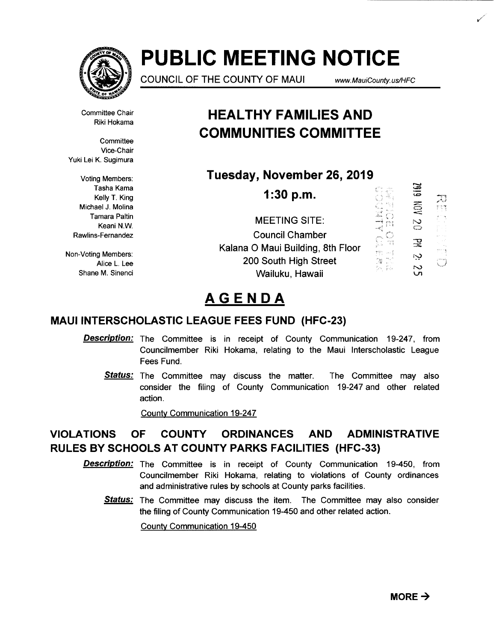

# **PUBLIC MEETING NOTICE**

COUNCIL OF THE COUNTY OF MAUl www. MauiCounty. us/HFC

, ·' ..

IJ

Committee Chair Riki Hokama

**Committee** Vice-Chair Yuki Lei K. Sugimura

Voting Members: Kelly T. King Michael J. Molina Tamara Paltin Keani N.W. Rawlins-Fernandez

Non-Voting Members: Alice L. Lee Shane M. Sinenci

# **HEAL THY FAMILIES AND COMMUNITIES COMMITTEE**

**Tuesday, November 26, 2019** 

 $\sum_{n=1}^{\infty}$  Tasha Kama **1:30 p.m.** ....:::> -, .. ,l 春 A  $\approx$ MEETING SITE:  $\mathbb{C}$ -'<It ~·"t .. ' . <sup>~</sup> Council Chamber  $\overline{z}$ Kalana 0 Maui Building, 8th Floor min.  $\sim 10^6$ r·y 200 South High Street e.<br>Na  $\mathcal{C}$ Wailuku, Hawaii

# **AGENDA**

# **MAUl INTERSCHOLASTIC LEAGUE FEES FUND (HFC-23)**

- **Description:** The Committee is in receipt of County Communication 19-247, from Councilmember Riki Hokama, relating to the Maui Interscholastic League Fees Fund.
	- **Status:** The Committee may discuss the matter. The Committee may also consider the filing of County Communication 19-247 and other related action.

County Communication 19-247

# **VIOLATIONS OF COUNTY ORDINANCES AND ADMINISTRATIVE RULES BY SCHOOLS AT COUNTY PARKS FACILITIES (HFC-33)**

- Description: The Committee is in receipt of County Communication 19-450, from Councilmember Riki Hokama, relating to violations of County ordinances and administrative rules by schools at County parks facilities.
	- **Status:** The Committee may discuss the item. The Committee may also consider the filing of County Communication 19-450 and other related action.

County Communication 19-450